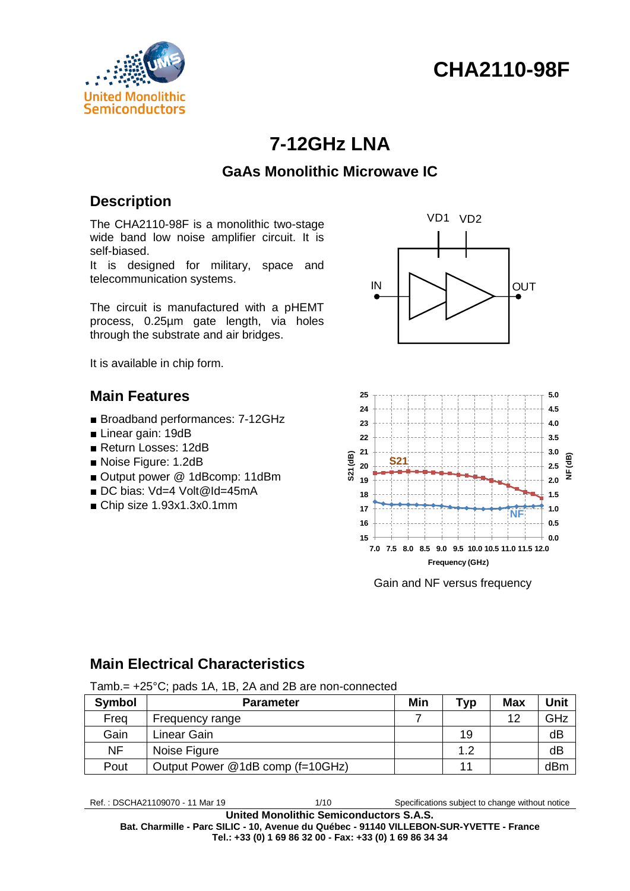# **CHA2110-98F**



# **7-12GHz LNA**

# **GaAs Monolithic Microwave IC**

# **Description**

The CHA2110-98F is a monolithic two-stage wide band low noise amplifier circuit. It is self-biased.

It is designed for military, space and telecommunication systems.

The circuit is manufactured with a pHEMT process, 0.25µm gate length, via holes through the substrate and air bridges.

It is available in chip form.

### **Main Features**

- Broadband performances: 7-12GHz
- Linear gain: 19dB
- Return Losses: 12dB
- Noise Figure: 1.2dB
- Output power @ 1dBcomp: 11dBm
- DC bias: Vd=4 Volt@Id=45mA
- Chip size 1.93x1.3x0.1mm





Gain and NF versus frequency

# **Main Electrical Characteristics**

**Symbol Parameter Min Typ Max Unit** Freq Frequency range 7 7 1 12 GHz Gain Linear Gain 19 dB NF Noise Figure 1.2 dB Pout | Output Power @1dB comp (f=10GHz) | | | | | | | | | | | dBm

Tamb.= +25°C; pads 1A, 1B, 2A and 2B are non-connected

Ref. : DSCHA21109070 - 11 Mar 19 1/10 Specifications subject to change without notice

**United Monolithic Semiconductors S.A.S. Bat. Charmille - Parc SILIC - 10, Avenue du Québec - 91140 VILLEBON-SUR-YVETTE - France Tel.: +33 (0) 1 69 86 32 00 - Fax: +33 (0) 1 69 86 34 34**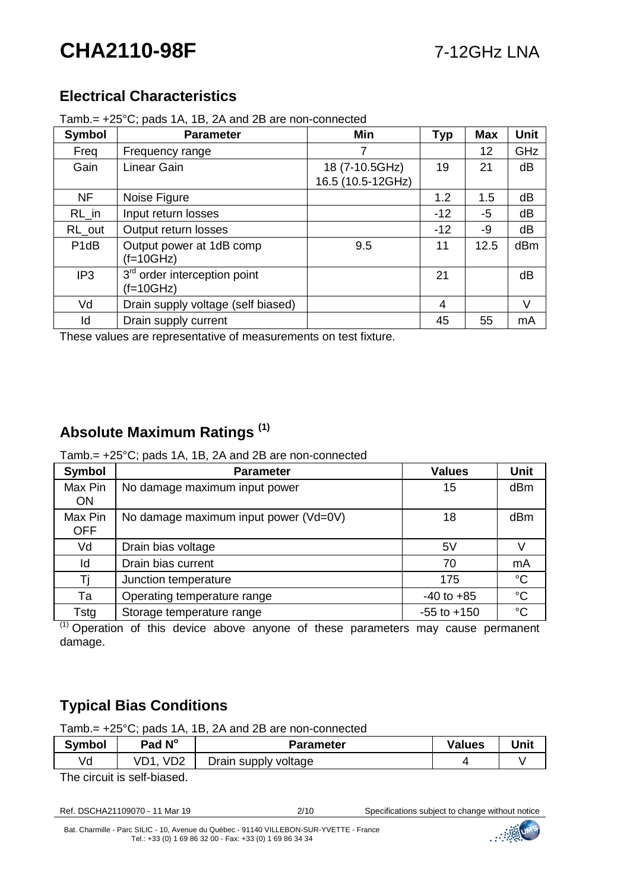# **CHA2110-98F** 7-12GHz LNA

# **Electrical Characteristics**

Tamb.= +25°C; pads 1A, 1B, 2A and 2B are non-connected

| <b>Symbol</b>     | <b>Parameter</b>                                        | <b>Min</b>                          | <b>Typ</b> | <b>Max</b> | <b>Unit</b> |
|-------------------|---------------------------------------------------------|-------------------------------------|------------|------------|-------------|
| Freq              | Frequency range                                         |                                     |            | 12         | GHz         |
| Gain              | Linear Gain                                             | 18 (7-10.5GHz)<br>16.5 (10.5-12GHz) | 19         | 21         | dB          |
| <b>NF</b>         | Noise Figure                                            |                                     | 1.2        | 1.5        | dB          |
| $RL_in$           | Input return losses                                     |                                     | $-12$      | -5         | dB          |
| RL_out            | Output return losses                                    |                                     | $-12$      | -9         | dB          |
| P <sub>1</sub> dB | Output power at 1dB comp<br>$(f=10GHz)$                 | 9.5                                 | 11         | 12.5       | dBm         |
| IP <sub>3</sub>   | 3 <sup>rd</sup> order interception point<br>$(f=10GHz)$ |                                     | 21         |            | dB          |
| Vd                | Drain supply voltage (self biased)                      |                                     | 4          |            | V           |
| Id                | Drain supply current                                    |                                     | 45         | 55         | mA          |

These values are representative of measurements on test fixture.

# **Absolute Maximum Ratings (1)**

Tamb.= +25°C; pads 1A, 1B, 2A and 2B are non-connected

| Symbol                | <b>Parameter</b>                      | <b>Values</b>   | <b>Unit</b> |
|-----------------------|---------------------------------------|-----------------|-------------|
| Max Pin<br><b>ON</b>  | No damage maximum input power         | 15              | dBm         |
| Max Pin<br><b>OFF</b> | No damage maximum input power (Vd=0V) | 18              | dBm         |
| Vd                    | Drain bias voltage                    | 5V              |             |
| ld                    | Drain bias current                    | 70              | mA          |
| Ti                    | Junction temperature                  | 175             | $^{\circ}C$ |
| Та                    | Operating temperature range           | $-40$ to $+85$  | $^{\circ}C$ |
| Tstg                  | Storage temperature range             | $-55$ to $+150$ | $^{\circ}C$ |

 $(1)$  Operation of this device above anyone of these parameters may cause permanent damage.

# **Typical Bias Conditions**

Tamb.= +25°C; pads 1A, 1B, 2A and 2B are non-connected

| Symbol | Pad N°          | Parameter            | Values | Unit |
|--------|-----------------|----------------------|--------|------|
| ٧d     | VD <sub>2</sub> | Drain supply voltage |        |      |
| $-1$   | .               |                      |        |      |

The circuit is self-biased.

| Ref. DSCHA21109070 - 11 Mar 19 |  |  |
|--------------------------------|--|--|
|                                |  |  |

2/10 Specifications subject to change without notice

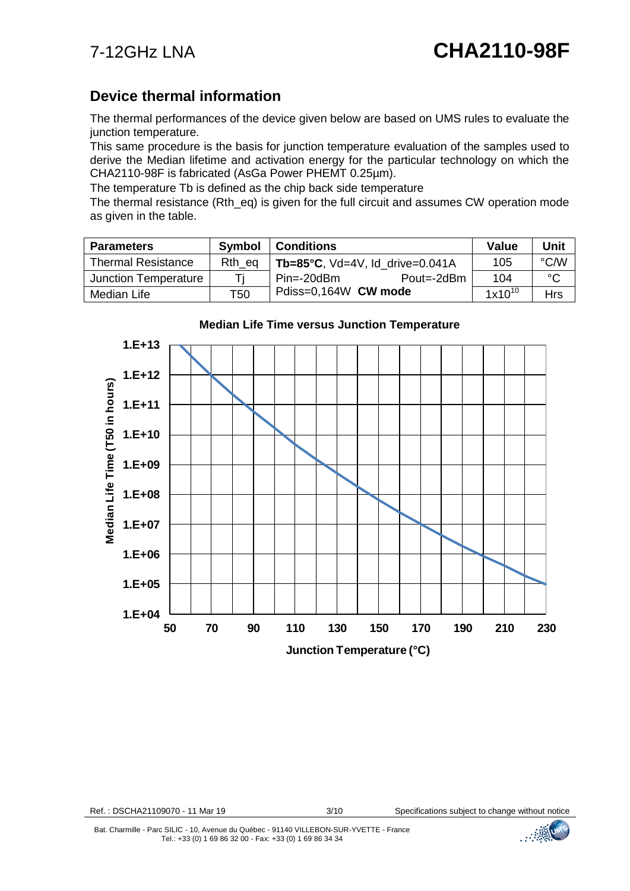## **Device thermal information**

The thermal performances of the device given below are based on UMS rules to evaluate the junction temperature.

This same procedure is the basis for junction temperature evaluation of the samples used to derive the Median lifetime and activation energy for the particular technology on which the CHA2110-98F is fabricated (AsGa Power PHEMT 0.25µm).

The temperature Tb is defined as the chip back side temperature

The thermal resistance (Rth\_eq) is given for the full circuit and assumes CW operation mode as given in the table.

| <b>Parameters</b>         | <b>Symbol</b> | <b>Conditions</b>                          | Value       | Unit         |
|---------------------------|---------------|--------------------------------------------|-------------|--------------|
| <b>Thermal Resistance</b> | Rth eq        | Tb=85 $^{\circ}$ C, Vd=4V, Id drive=0.041A | 105         | °C/W         |
| Junction Temperature      |               | Pout=-2dBm<br>$Pin=-20dBm$                 | 104         | $^{\circ}$ C |
| Median Life               | T50           | Pdiss=0,164W CW mode                       | $1x10^{10}$ | <b>Hrs</b>   |



#### **Median Life Time versus Junction Temperature** Median Life Time versus Junction Temperature

Ref. : DSCHA21109070 - 11 Mar 19 3/10 Specifications subject to change without notice

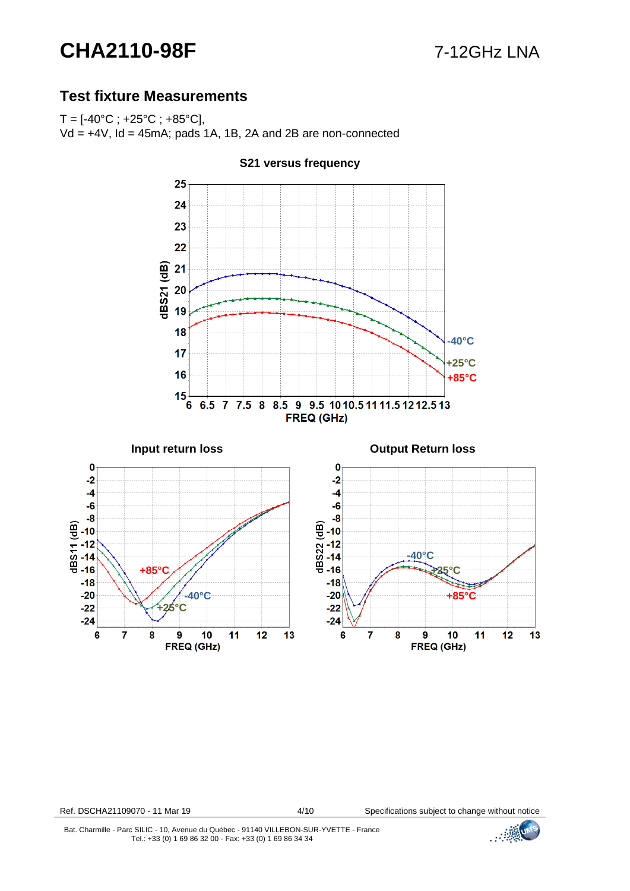# **CHA2110-98F** 7-12GHz LNA

### **Test fixture Measurements**

 $T = [-40^{\circ}C; +25^{\circ}C; +85^{\circ}C]$ Vd = +4V, Id = 45mA; pads 1A, 1B, 2A and 2B are non-connected



**S21 versus frequency**

Ref. DSCHA21109070 - 11 Mar 19 4/10 Specifications subject to change without notice

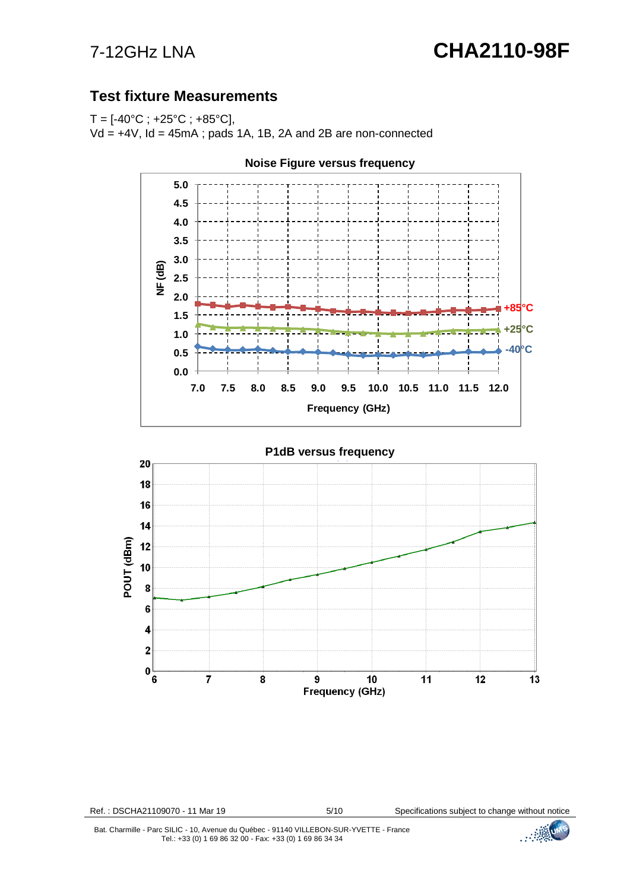# 7-12GHz LNA **CHA2110-98F**

## **Test fixture Measurements**

 $T = [-40^{\circ}C; +25^{\circ}C; +85^{\circ}C]$ 

 $Vd = +4V$ ,  $Id = 45mA$ ; pads 1A, 1B, 2A and 2B are non-connected



**Noise Figure versus frequency**

Ref.: DSCHA21109070 - 11 Mar 19 5/10 Specifications subject to change without notice

Bat. Charmille - Parc SILIC - 10, Avenue du Québec - 91140 VILLEBON-SUR-YVETTE - France Tel.: +33 (0) 1 69 86 32 00 - Fax: +33 (0) 1 69 86 34 34

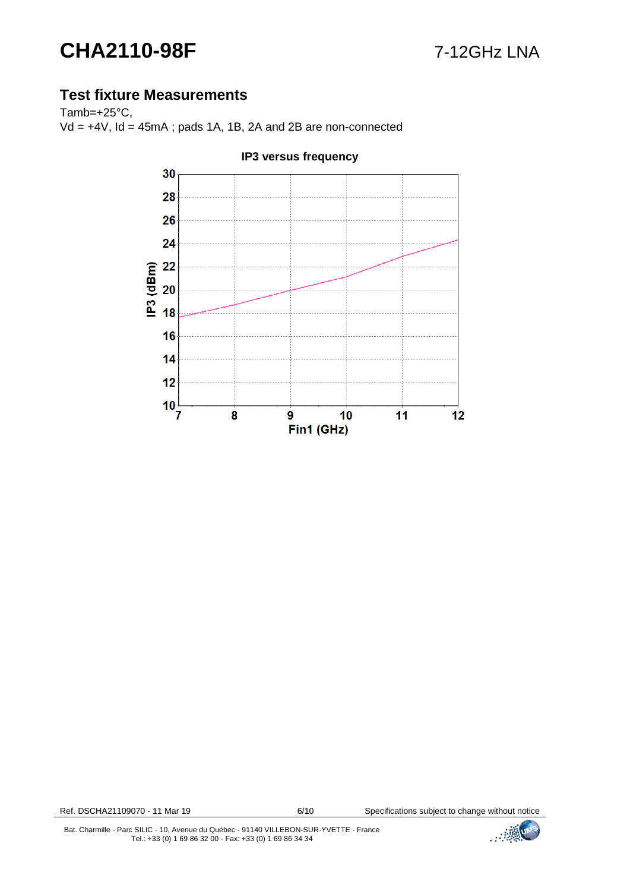# **CHA2110-98F** 7-12GHz LNA

# **Test fixture Measurements**

Tamb=+25°C,  $Vd = +4V$ ,  $Id = 45mA$ ; pads 1A, 1B, 2A and 2B are non-connected



#### **IP3 versus frequency**

Ref. DSCHA21109070 - 11 Mar 19 6/10 Specifications subject to change without notice

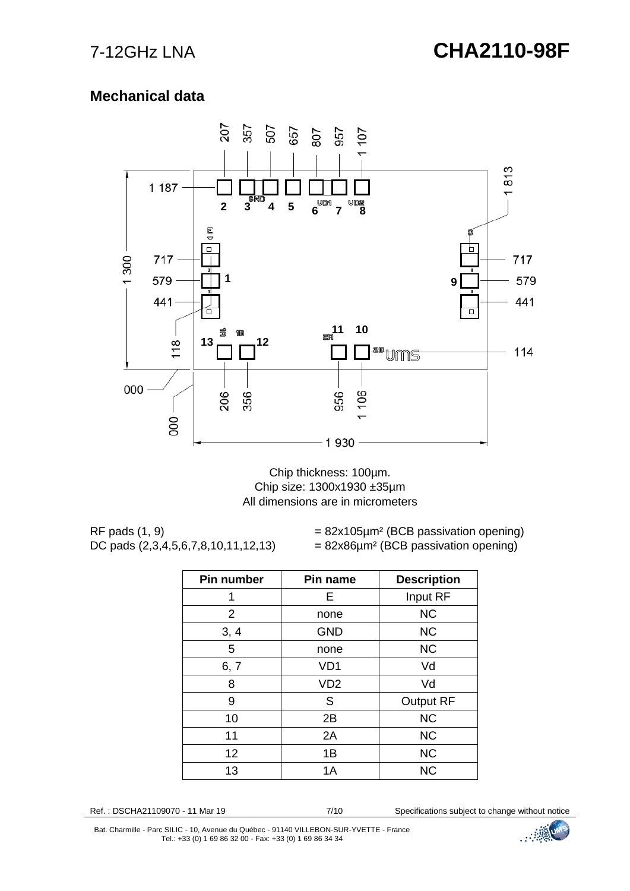# **Mechanical data**



Chip thickness: 100µm. Chip size: 1300x1930 ±35µm All dimensions are in micrometers

RF pads  $(1, 9)$  = 82x105 $\mu$ m<sup>2</sup> (BCB passivation opening) DC pads  $(2,3,4,5,6,7,8,10,11,12,13)$  = 82x86 $\mu$ m<sup>2</sup> (BCB passivation opening)

| Pin number     | Pin name        | <b>Description</b> |
|----------------|-----------------|--------------------|
| 1              | Е               | Input RF           |
| $\overline{2}$ | none            | <b>NC</b>          |
| 3, 4           | <b>GND</b>      | <b>NC</b>          |
| 5              | none            | <b>NC</b>          |
| 6, 7           | VD <sub>1</sub> | Vd                 |
| 8              | VD <sub>2</sub> | Vd                 |
| 9              | S               | <b>Output RF</b>   |
| 10             | 2B              | <b>NC</b>          |
| 11             | 2A              | <b>NC</b>          |
| 12             | 1B              | <b>NC</b>          |
| 13             | 1A              | <b>NC</b>          |

Ref.: DSCHA21109070 - 11 Mar 19 7/10 Specifications subject to change without notice

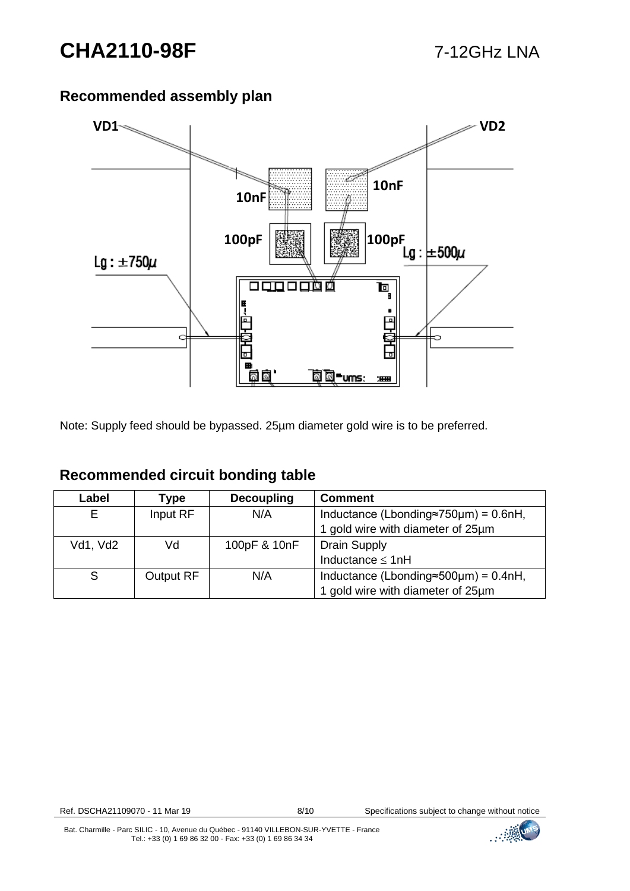## **Recommended assembly plan**



Note: Supply feed should be bypassed. 25µm diameter gold wire is to be preferred.

| Label    | Type             | <b>Decoupling</b> | <b>Comment</b>                                       |
|----------|------------------|-------------------|------------------------------------------------------|
|          | Input RF         | N/A               | Inductance (Lbonding $\approx$ 750 $\mu$ m) = 0.6nH, |
|          |                  |                   | 1 gold wire with diameter of 25um                    |
| Vd1, Vd2 | Vd               | 100pF & 10nF      | <b>Drain Supply</b>                                  |
|          |                  |                   | Inductance $\leq 1$ nH                               |
| S        | <b>Output RF</b> | N/A               | Inductance (Lbonding $\approx$ 500 $\mu$ m) = 0.4nH, |
|          |                  |                   | 1 gold wire with diameter of 25um                    |

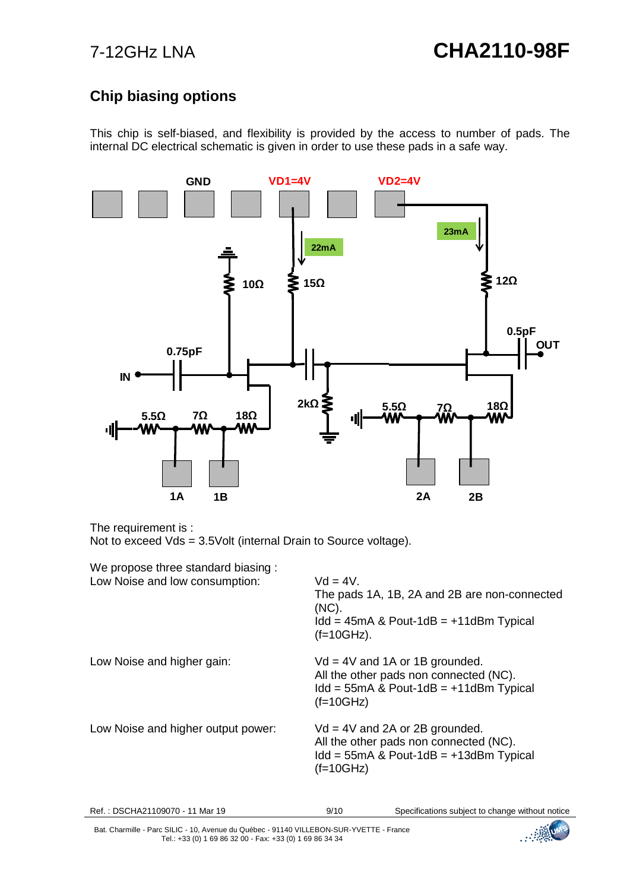# **Chip biasing options**

This chip is self-biased, and flexibility is provided by the access to number of pads. The internal DC electrical schematic is given in order to use these pads in a safe way.



The requirement is :

Not to exceed Vds = 3.5Volt (internal Drain to Source voltage).

| We propose three standard biasing:<br>Low Noise and low consumption: | $Vd = 4V$ .<br>The pads 1A, 1B, 2A and 2B are non-connected<br>$(NC)$ .<br>$1dd = 45mA$ & Pout-1dB = $+11dB$ m Typical<br>$(f=10GHz)$ .  |
|----------------------------------------------------------------------|------------------------------------------------------------------------------------------------------------------------------------------|
| Low Noise and higher gain:                                           | $Vd = 4V$ and 1A or 1B grounded.<br>All the other pads non connected (NC).<br>$1dd = 55mA$ & Pout-1dB = $+11dB$ m Typical<br>$(f=10GHz)$ |
| Low Noise and higher output power:                                   | $Vd = 4V$ and 2A or 2B grounded.<br>All the other pads non connected (NC).<br>$1dd = 55mA$ & Pout-1dB = $+13dB$ m Typical<br>$(f=10GHz)$ |